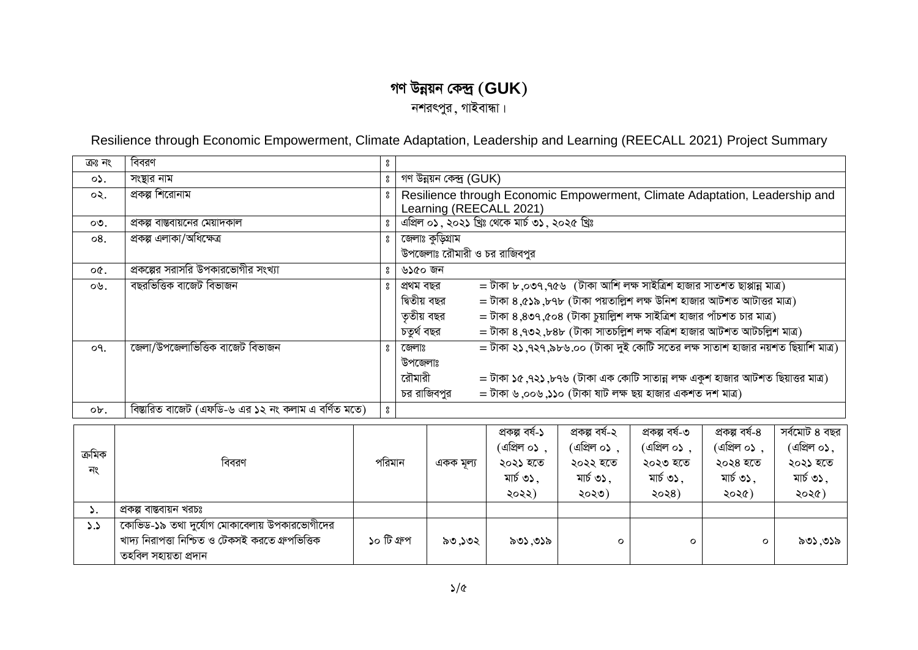## গণ উন্নয়ন কেন্দ্ৰ  $(\text{GUK})$

নশরৎপুর, গাইবান্ধা।

Resilience through Economic Empowerment, Climate Adaptation, Leadership and Learning (REECALL 2021) Project Summary

| ক্ৰঃ নং   | বিবরণ                                               | °                |                                                                                           |                                                                                                        |                                                                                |                                    |                                            |                                    |                                    |  |  |
|-----------|-----------------------------------------------------|------------------|-------------------------------------------------------------------------------------------|--------------------------------------------------------------------------------------------------------|--------------------------------------------------------------------------------|------------------------------------|--------------------------------------------|------------------------------------|------------------------------------|--|--|
| ०১.       | সংস্থার নাম                                         | $\rm ^o$         |                                                                                           | গণ উন্নয়ন কেন্দ্ৰ (GUK)                                                                               |                                                                                |                                    |                                            |                                    |                                    |  |  |
| $\circ$   | প্রকল্প শিরোনাম                                     | °                |                                                                                           | Resilience through Economic Empowerment, Climate Adaptation, Leadership and<br>Learning (REECALL 2021) |                                                                                |                                    |                                            |                                    |                                    |  |  |
| $\circ$ . | প্রকল্প বাস্তবায়নের মেয়াদকাল                      | $\boldsymbol{S}$ |                                                                                           |                                                                                                        | এপ্রিল ০১, ২০২১ খ্রিঃ থেকে মার্চ ৩১, ২০২৫ খ্রিঃ                                |                                    |                                            |                                    |                                    |  |  |
| 08.       | প্ৰকল্প এলাকা/অধিক্ষেত্ৰ                            | 8                |                                                                                           | জেলাঃ কুড়িগ্রাম<br>উপজেলাঃ রৌমারী ও চর রাজিবপুর                                                       |                                                                                |                                    |                                            |                                    |                                    |  |  |
|           |                                                     |                  |                                                                                           |                                                                                                        |                                                                                |                                    |                                            |                                    |                                    |  |  |
| $OC$ .    | প্রকল্পের সরাসরি উপকারভোগীর সংখ্যা                  | °                | ৬১৫০ জন                                                                                   |                                                                                                        |                                                                                |                                    |                                            |                                    |                                    |  |  |
| ০৬.       | বছরভিত্তিক বাজেট বিভাজন                             | $\boldsymbol{S}$ | প্ৰথম বছর                                                                                 |                                                                                                        | $=$ টাকা ৮,০৩৭,৭৫৬ (টাকা আশি লক্ষ সাইত্রিশ হাজার সাতশত ছাপ্পান্ন মাত্র)        |                                    |                                            |                                    |                                    |  |  |
|           |                                                     |                  | দ্বিতীয় বছর                                                                              |                                                                                                        | = টাকা ৪,৫১৯,৮৭৮ (টাকা পয়তাল্লিশ লক্ষ উনিশ হাজার আটশত আটাত্তর মাত্র)          |                                    |                                            |                                    |                                    |  |  |
|           |                                                     |                  |                                                                                           | = টাকা ৪,৪৩৭,৫০৪ (টাকা চুয়াল্লিশ লক্ষ সাইত্রিশ হাজার পাঁচশত চার মাত্র)<br>তৃতীয় বছর                  |                                                                                |                                    |                                            |                                    |                                    |  |  |
|           |                                                     |                  |                                                                                           | = টাকা ৪,৭৩২,৮৪৮ (টাকা সাতচল্লিশ লক্ষ বত্রিশ হাজার আটশত আটচল্লিশ মাত্র)<br>চতুৰ্থ বছর                  |                                                                                |                                    |                                            |                                    |                                    |  |  |
| o٩.       | জেলা/উপজেলাভিত্তিক বাজেট বিভাজন                     | $\boldsymbol{S}$ | জেলাঃ                                                                                     |                                                                                                        | = টাকা ২১,৭২৭,৯৮৬.০০ (টাকা দুই কোটি সতের লক্ষ সাতাশ হাজার নয়শত ছিয়াশি মাত্র) |                                    |                                            |                                    |                                    |  |  |
|           |                                                     |                  | উপজেলাঃ                                                                                   |                                                                                                        |                                                                                |                                    |                                            |                                    |                                    |  |  |
|           |                                                     |                  | = টাকা ১৫ ,৭২১ ,৮৭৬ (টাকা এক কোটি সাতান্ন লক্ষ একুশ হাজার আটশত ছিয়াত্তর মাত্র)<br>রৌমারী |                                                                                                        |                                                                                |                                    |                                            |                                    |                                    |  |  |
|           |                                                     |                  | = টাকা ৬,০০৬,১১০ (টাকা ষাট লক্ষ ছয় হাজার একশত দশ মাত্র)<br>চর রাজিবপুর                   |                                                                                                        |                                                                                |                                    |                                            |                                    |                                    |  |  |
|           |                                                     |                  |                                                                                           |                                                                                                        |                                                                                |                                    |                                            |                                    |                                    |  |  |
| ob.       | বিস্তারিত বাজেট (এফডি-৬ এর ১২ নং কলাম এ বর্ণিত মতে) | $\boldsymbol{S}$ |                                                                                           |                                                                                                        |                                                                                |                                    |                                            |                                    |                                    |  |  |
|           |                                                     |                  |                                                                                           |                                                                                                        | প্ৰকল্প বৰ্ষ-১                                                                 | প্ৰকল্প বৰ্ষ-২                     | প্ৰকল্প বৰ্ষ-৩                             | প্ৰকল্প বৰ্ষ-৪                     | সৰ্বমোট ৪ বছর                      |  |  |
|           |                                                     |                  |                                                                                           |                                                                                                        | (এপ্রিল ০১),                                                                   | (এপ্রিল ০১),                       | (এপ্রিল ০১),                               | (এপ্রিল ০১),                       | (এপ্রিল ০১,                        |  |  |
| ক্ৰমিক    | $\theta$                                            |                  |                                                                                           |                                                                                                        | $\sim$ $\sim$ $\sim$                                                           | $\sim$ $\sim$ $\sim$ $\sim$ $\sim$ | $\mathbf{X} = \mathbf{X} \cdot \mathbf{A}$ | $\sim$ $\sim$ $\sim$ $\sim$ $\sim$ | $\sim$ $\sim$ $\sim$ $\sim$ $\sim$ |  |  |

| ক্ৰমিক<br>নং | বিবরণ                                                                                                                     | পরিমান      | একক মূল্য | (এাপ্রল ০১<br>২০২১ হতে<br>মার্চ ৩১.<br>২০২২) | (এাপ্রল ০১<br>২০২২ হতে<br>মার্চ ৩১.<br>২০২৩) | (এাপ্রল ০১<br>২০২৩ হতে<br>মার্চ ৩১.<br>২০২৪) | ।ଏାଅମ ୦১<br>২০২৪ হতে<br>মার্চ ৩১.<br>২০২৫) | াথৰল ০১.<br>২০২১ হতে<br>মার্চ ৩১.<br>২০২৫) |
|--------------|---------------------------------------------------------------------------------------------------------------------------|-------------|-----------|----------------------------------------------|----------------------------------------------|----------------------------------------------|--------------------------------------------|--------------------------------------------|
| ັ.           | প্ৰকল্প বাস্তবায়ন খরচঃ                                                                                                   |             |           |                                              |                                              |                                              |                                            |                                            |
| $\lambda$    | কোভিড-১৯ তথা দুর্যোগ মোকাবেলায় উপকারভোগীদের<br>খাদ্য নিরাপত্তা নিশ্চিত ও টেকসই করতে গ্রুপভিত্তিক<br>তহবিল সহায়তা প্ৰদান | ১০ টি গ্রুপ | ৯৩.১৩২    | ৯৩১.৩১৯                                      |                                              | o                                            |                                            | ৯৩১.৩১৯                                    |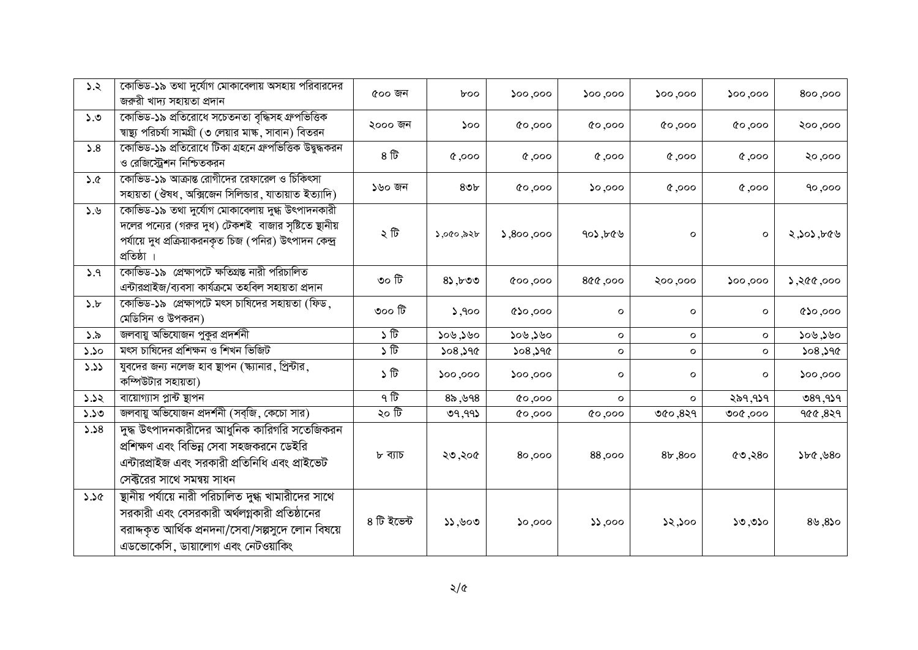| 5.2         | কোভিড-১৯ তথা দুর্যোগ মোকাবেলায় অসহায় পরিবারদের<br>জরুরী খাদ্য সহায়তা প্রদান                                                                                                                  | ৫০০ জন         | $b$ oo             | 000,000         | 500,000       | 000,000 | $\mathsf{yoo}, \mathsf{oo}\mathsf{o}$ | 800,000         |
|-------------|-------------------------------------------------------------------------------------------------------------------------------------------------------------------------------------------------|----------------|--------------------|-----------------|---------------|---------|---------------------------------------|-----------------|
| ১.৩         | কোভিড-১৯ প্ৰতিরোধে সচেতনতা বৃদ্ধিসহ গ্রুপভিত্তিক<br>ন্বাষ্থ্য পরিচর্যা সামগ্রী (৩ লেয়ার মাঙ্ক, সাবান) বিতরন                                                                                    | ২০০০ জন        | ১০০                | 00,000          | 000,000       | 000,00  | 000,00                                | २००,०००         |
| 5.8         | কোভিড-১৯ প্রতিরোধে টিকা গ্রহনে গ্রুপভিত্তিক উদ্বুদ্ধকরন<br>ও রেজিস্ট্রেশন নিশ্চিতকরন                                                                                                            | $8 \nbrace{ }$ | $0.000$ , $\gamma$ | 0,000           | 0.000         | 000, 9  | 000, 9                                | २०,०००          |
| 3.6         | কোভিড-১৯ আক্রান্ত রোগীদের রেফারেল ও চিকিৎসা<br>সহায়তা (ঔষধ, অক্সিজেন সিলিন্ডার, যাতায়াত ইত্যাদি)                                                                                              | ১৬০ জন         | 80 <sub>b</sub>    | 000,00          | $\infty$ ,000 | 0,000   | 0,000                                 | 90,000          |
| ১.৬         | কোভিড-১৯ তথা দুর্যোগ মোকাবেলায় দুগ্ধ উৎপাদনকারী<br>দলের পন্যের (গরুর দুধ) টেকশই বাজার সৃষ্টিতে ছানীয়<br>পর্যায়ে দুধ প্রক্রিয়াকরনকৃত চিজ (পনির) উৎপাদন কেন্দ্র<br>প্ৰতিষ্ঠা ।                | ২ টি           | ১,০৫০,৯২৮          | 0.800,000       | 402,600       | $\circ$ | $\circ$                               | ২,১০১,৮৫৬       |
| 5.9         | কোভিড-১৯ প্রেক্ষাপটে ক্ষতিগ্রন্ত নারী পরিচালিত<br>এন্টারপ্রাইজ/ব্যবসা কার্যক্রমে তহবিল সহায়তা প্রদান                                                                                           | ৩০ টি          | 85,600             | 000,000         | 800,000       | ২০০,০০০ | 000,000                               | 5,800,995,8     |
| $\delta$ .b | কোভিড-১৯  প্রেক্ষাপটে মৎস চাষিদের সহায়তা (ফিড,<br>মেডিসিন ও উপকরন)                                                                                                                             | ৩০০ টি         | 5,900              | $\circ$ 00, 000 | $\mathbf{o}$  | $\circ$ | $\mathbf{o}$                          | $\cos$ , $\cos$ |
| $\delta$ .১ | জলবায়ু অভিযোজন পুকুর প্রদর্শনী                                                                                                                                                                 | $\sqrt{t}$     | ১০৬,১৬০            | ১০৬,১৬০         | $\mathsf{o}$  | $\circ$ | $\mathsf{o}$                          | ১০৬,১৬০         |
| 5.50        | মৎস চাষিদের প্রশিক্ষন ও শিখন ভিজিট                                                                                                                                                              | ১টি            | 508,390            | 508,590         | $\circ$       | $\circ$ | $\circ$                               | 508,590         |
| 3.33        | যুবদের জন্য নলেজ হাব ছাপন (স্ক্যানার, প্রিন্টার,<br>কম্পিউটার সহায়তা)                                                                                                                          | ১ টি           | 000,000            | 000,000         | $\circ$       | $\circ$ | O                                     | 000,000         |
| 5.52        | বায়োগ্যাস প্লান্ট স্থাপন                                                                                                                                                                       | ৭ টি           | 85,998             | 000,00          | $\mathbf{o}$  | $\circ$ | ২৯৭,৭১৭                               | 089,939         |
| 5.50        | জলবায়ু অভিযোজন প্রদর্শনী (সব্জি, কেচো সার)                                                                                                                                                     | ২০ টি          | 09,99              | 000,00          | 0,000         | 960,829 | ०००, १००                              | 900,829         |
| 5.58        | দুদ্ধ উৎপাদনকারীদের আধুনিক কারিগরি সতেজিকরন<br>প্রশিক্ষণ এবং বিভিন্ন সেবা সহজকরনে ডেইরি<br>এন্টারপ্রাইজ এবং সরকারী প্রতিনিধি এবং প্রাইভেট<br>সেক্টরের সাথে সমন্বয় সাধন                         | ৮ ব্যাচ        | ২৩,২০৫             | 80,000          | 88,000        | 8b,800  | 69,80                                 | 560,580         |
| 3.36        | ষ্থানীয় পর্যায়ে নারী পরিচালিত দুগ্ধ খামারীদের সাথে<br>সরকারী এবং বেসরকারী অর্থলগ্নকারী প্রতিষ্ঠানের<br>বরাদ্দকৃত আর্থিক প্রনদনা/সেবা/সল্পসুদে লোন বিষয়ে<br>এডভোকেসি, ডায়ালোগ এবং নেটওয়াকিং | ৪ টি ইভেন্ট    | 33,800             | 000,00          | 55,000        | 52,500  | 50,050                                | 89,850          |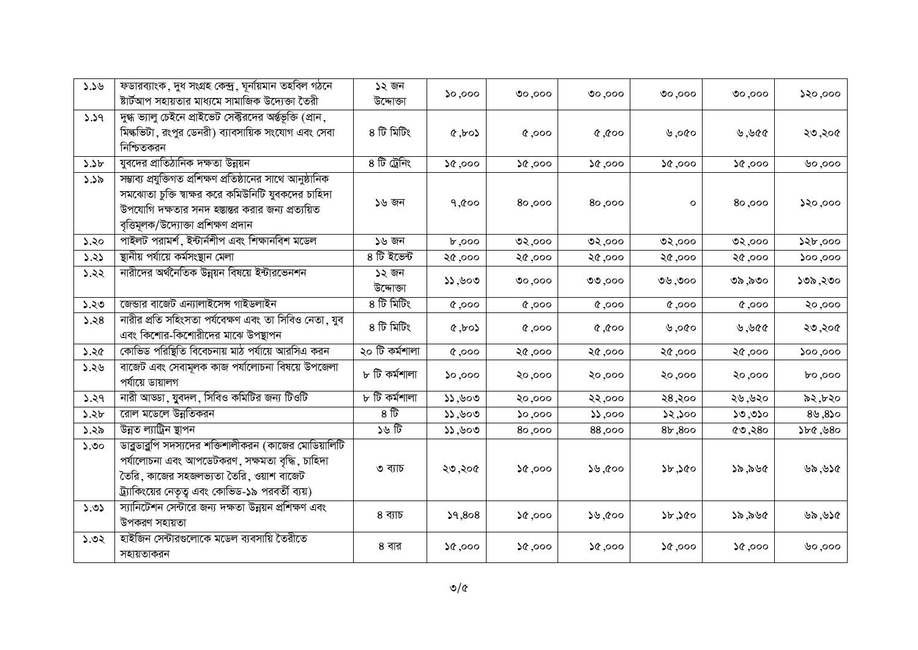| 3.39 | ফডারব্যাংক, দুধ সংগ্রহ কেন্দ্র, ঘূর্নয়িমান তহবিল গঠনে<br>ষ্টার্টআপ সহায়তার মাধ্যমে সামাজিক উদ্যেক্তা তৈরী                                                                                                     | ১২ জন<br>উদ্দোক্তা | $\mathsf{so}, \mathsf{oo}$ | ०००, ००                    | ०००, ००             | 00,000            | ०००, ००          | ১২০,০০০              |
|------|-----------------------------------------------------------------------------------------------------------------------------------------------------------------------------------------------------------------|--------------------|----------------------------|----------------------------|---------------------|-------------------|------------------|----------------------|
| 5.59 | দুগ্ধ ভ্যালু চেইনে প্রাইভেট সেক্টরদের অর্ন্তভূক্তি (প্রান,<br>মিল্কভিটা, রংপুর ডেনরী) ব্যাবসায়িক সংযোগ এবং সেবা<br>নিশ্চিতকরন                                                                                  | ৪ টি মিটিং         | $\cos$                     | 0,000                      | $\alpha$ , $\alpha$ | ৩১০, $\mathcal Y$ | 999, 9           | ২৩,২০৫               |
| 5.5b | যুবদের প্রাতিঠানিক দক্ষতা উন্নয়ন                                                                                                                                                                               | ৪ টি ট্রেনিং       | 50,000                     | 50,000                     | 000, 00             | 000, 00           | 000, 96          | ৩০,০০০               |
| 3.35 | সম্ভাব্য প্রযুক্তিগত প্রশিক্ষণ প্রতিষ্ঠানের সাথে আনুষ্ঠানিক<br>সমঝোতা চুক্তি শ্বাক্ষর করে কমিউনিটি যুবকদের চাহিদা<br>উপযোগি দক্ষতার সনদ হম্ভান্তর করার জন্য প্রত্যয়িত<br>বৃত্তিমূলক/উদ্যোক্তা প্ৰশিক্ষণ প্ৰদান | ১৬ জন              | 9,000                      | 80,000                     | 80,000              | $\circ$           | 80,000           | 550,000              |
| ১.২০ | পাইলট পরামর্শ, ইন্টার্নশীপ এবং শিক্ষানবিশ মডেল                                                                                                                                                                  | ১৬ জন              | b,000                      | ०२,०००                     | ৩২,০০০              | ৩২,০০০            | ৩২,০০০           | 52b,000              |
| 3.23 | ষ্থানীয় পর্যায়ে কর্মসংস্থান মেলা                                                                                                                                                                              | ৪ টি ইভেন্ট        | ২৫,০০০                     | ২৫,০০০                     | ২৫,০০০              | ২৫,০০০            | ২৫,০০০           | $\mathsf{00,000}$    |
| 5.22 | নারীদের অর্থনৈতিক উন্নয়ন বিষয়ে ইন্টারভেনশন                                                                                                                                                                    | ১২ জন<br>উদ্দোক্তা | 33,800                     | 00,000                     | ৩৩,০০০              | ৩৬,৩০০            | ৩৯,৯৩০           | ১৩৯,২৩০              |
| ১.২৩ | জেন্ডার বাজেট এন্যালাইসেন্স গাইডলাইন                                                                                                                                                                            | ৪ টি মিটিং         | 0,000                      | 0,000                      | 0,000               | 0,000             | $\alpha, \infty$ | २०,०००               |
| 3.28 | নারীর প্রতি সহিংসতা পর্যবেক্ষণ এবং তা সিবিও নেতা, যুব<br>এবং কিশোর-কিশোরীদের মাঝে উপস্থাপন                                                                                                                      | ৪ টি মিটিং         | $\alpha$ , to $\lambda$    | $\alpha,$ 000              | $\cos \theta, \Phi$ | ৩১০, $\psi$       | 999, 9           | ২৩,২০৫               |
| 5.26 | কোভিড পরিষ্থিতি বিবেচনায় মাঠ পর্যায়ে আরসিএ করন                                                                                                                                                                | ২০ টি কৰ্মশালা     | 0,000                      | ২৫,০০০                     | ২৫,০০০              | ২৫,০০০            | ২৫,০০০           | $\mathsf{v}$ oo, ood |
| ১.২৬ | বাজেট এবং সেবামূলক কাজ পর্যালোচনা বিষয়ে উপজেলা<br>পর্যায়ে ডায়ালগ                                                                                                                                             | ৮ টি কৰ্মশালা      | $\mathcal{O}, \mathcal{O}$ | ২০,০০০                     | ২০,০০০              | ২০,০০০            | ২০,০০০           | 000,000              |
| 5.29 | নারী আড্ডা, যুবদল, সিবিও কমিটির জন্য টিওটি                                                                                                                                                                      | ৮ টি কৰ্মশালা      | 33,800                     | ২০,০০০                     | २२,०००              | ২৪,২০০            | ২৬,৬২০           | ৯২,৮২০               |
| ১.২৮ | রোল মডেলে উন্নতিকরন                                                                                                                                                                                             | 8 <sup>17</sup>    | 33,800                     | $\mathsf{oo}, \mathsf{oc}$ | 55,000              | ১২,১০০            | ১৩,৩১০           | $0.8$ , $0.8$        |
| ১.২৯ | উন্নত ল্যাট্রিন স্থাপন                                                                                                                                                                                          | ১৬ টি              | 33,800                     | 80,000                     | 88,000              | 8b,800            | ৫৩,২৪০           | 560,560              |
| ১.৩০ | ডাব্রুডাব্রুপি সদস্যদের শক্তিশালীকরন (কাজের মোডিয়ালিটি<br>পৰ্যালোচনা এবং আপডেটকরণ, সক্ষমতা বৃদ্ধি, চাহিদা<br>তৈরি, কাজের সহজলভ্যতা তৈরি, ওয়াশ বাজেট<br>ট্র্যাকিংয়ের নেতৃত্ব এবং কোভিড-১৯ পরবর্তী ব্যয়)      | ৩ ব্যাচ            | ২৩,২০৫                     | 50,000                     | ১৬,৫০০              | 5b,5c             | ১৯,৯৬৫           | ১১৬,১৫               |
| 5.05 | স্যানিটেশন সেন্টারে জন্য দক্ষতা উন্নয়ন প্রশিক্ষণ এবং<br>উপকরণ সহায়তা                                                                                                                                          | ৪ ব্যাচ            | 39,808                     | 000, 00                    | ১৬,৫০০              | ১৮,১৫০            | ১৯,৯৬৫           | ১১৬,১৫               |
| 5.02 | হাইজিন সেন্টারগুলোকে মডেল ব্যবসায়ি তৈরীতে<br>সহায়তাকরন                                                                                                                                                        | ৪ বার              | 000, 00                    | 000, 00                    | 000, 00             | 000, 00           | 000, 00          | ৩০,০০০               |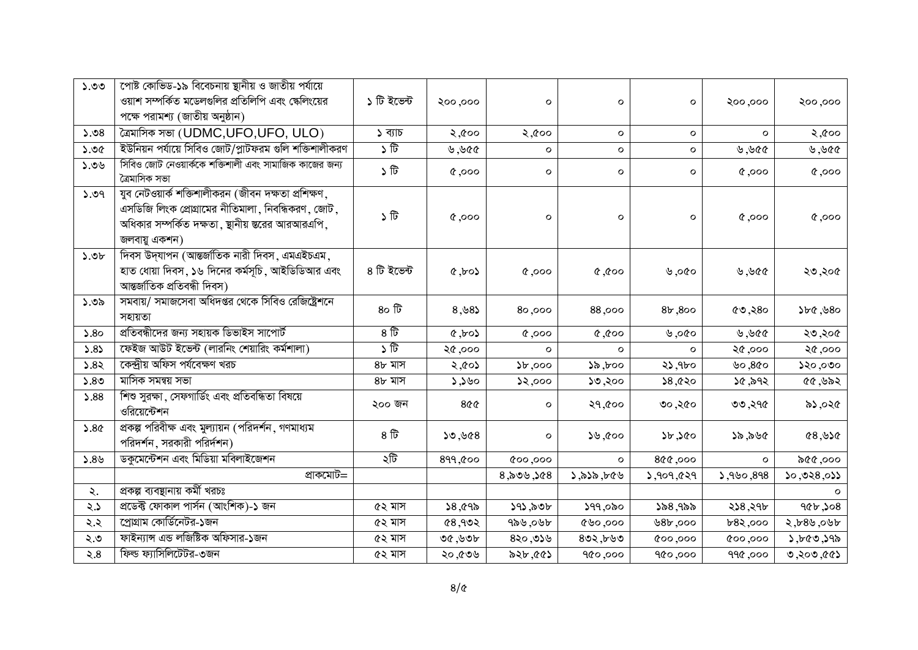| ১.৩৩             | পোষ্ট কোভিড-১৯ বিবেচনায় ষ্থানীয় ও জাতীয় পর্যায়ে<br>ওয়াশ সম্পর্কিত মডেলগুলির প্রতিলিপি এবং ক্ষেলিংয়ের<br>পক্ষে পরামশ্য (জাতীয় অনুষ্ঠান)                                 | ১ টি ইভেন্ট        | २००,०००                   | O            | $\mathbf{o}$                                            | O            | ২০০,০০০            | ২০০,০০০             |
|------------------|-------------------------------------------------------------------------------------------------------------------------------------------------------------------------------|--------------------|---------------------------|--------------|---------------------------------------------------------|--------------|--------------------|---------------------|
| 5.08             | কৈমাসিক সভা (UDMC,UFO,UFO, ULO)                                                                                                                                               | ১ ব্যাচ            | ২,৫০০                     | ২,৫০০        | $\mathbf{o}$                                            | $\circ$      | $\circ$            | ২,৫০০               |
| ১.৩৫             | ইউনিয়ন পর্যায়ে সিবিও জোট/প্লাটফরম গুলি শক্তিশালীকরণ                                                                                                                         | ১ টি               | ৩,৬৫৫                     | $\circ$      | $\mathbf{o}$                                            | O            | ৩,৬৫৫              | ১১৬, ৬              |
| 90.6             | সিবিও জোট নেওয়ার্ককে শক্তিশালী এবং সামাজিক কাজের জন্য<br>ত্ৰৈমাসিক সভা                                                                                                       | ১ টি               | $0.000$ , $\delta$        | $\mathbf{o}$ | $\circ$                                                 | $\mathbf{o}$ | $0.000$ , $\gamma$ | 0,000               |
| 5.09             | যুব নেটওয়ার্ক শক্তিশালীকরন (জীবন দক্ষতা প্রশিক্ষণ,<br>এসডিজি লিংক প্রোগ্রামের নীতিমালা, নিবন্ধিকরণ, জোট,<br>অধিকার সম্পর্কিত দক্ষতা, ছানীয় স্তরের আরআরএপি,<br>জলবায়ু একশন) | ১ টি               | $0.000$ , $\gamma$        | о            | $\circ$                                                 | $\mathbf{o}$ | 0,000              | 0,000               |
| 5.0 <sub>b</sub> | দিবস উদ্যাপন (আন্তর্জাতিক নারী দিবস, এমএইচএম,<br>হাত ধোয়া দিবস, ১৬ দিনের কর্মসূচি, আইডিডিআর এবং<br>আন্তর্জাতিক প্রতিবন্ধী দিবস)                                              | ৪ টি ইভেন্ট        | $\zeta_{\rm tot}, \gamma$ | 0.000        | $\circ \circ \hat{\mathfrak{D}}$ , $\hat{\mathfrak{D}}$ | ৩১০, ৬       | 999,88             | ২৩,২০৫              |
| ১.৩৯             | সমবায়/ সমাজসেবা অধিদপ্তর থেকে সিবিও রেজিষ্ট্রেশনে<br>সহায়তা                                                                                                                 | 80E                | 8,88                      | 000,08       | 88,000                                                  | 8b,800       | ৫৩,২৪০             | 560,580             |
| 5.80             | প্রতিবন্ধীদের জন্য সহায়ক ডিভাইস সাপোর্ট                                                                                                                                      | 8 <sup>17</sup>    | $\zeta \circ \tau$        | 0,000        | 0.00, 0                                                 | ৬,০৫০        | 999,88             | ২৩,২০৫              |
| 5.85             | ফেইজ আউট ইভেন্ট (লারনিং শেয়ারিং কর্মশালা)                                                                                                                                    | $\sqrt{6}$         | ২৫,০০০                    | $\circ$      | $\circ$                                                 | $\circ$      | ২৫,০০০             | ২৫,০০০              |
| 5.85             | কেন্দ্রীয় অফিস পর্যবেক্ষণ খরচ                                                                                                                                                | ৪৮ মাস             | ১৫০১, ২                   | 56,000       | ১৯,৮০০                                                  | ২১,৭৮০       | ৬০, $86$ ০         | ১২০,০৩০             |
| 5.80             | মাসিক সমন্বয় সভা                                                                                                                                                             | ৪৮ মাস             | $o$ ৶८, ८                 | 52,000       | ১৩,২০০                                                  | 58,820       | ১৫,৯৭২             | 60,98               |
| 5.88             | শিশু সুরক্ষা, সেফগার্ডিং এবং প্রতিবন্ধিতা বিষয়ে<br>ওরিয়েন্টেশন                                                                                                              | ২০০ জন             | 908                       | о            | २१,৫००                                                  | ৩০,২৫০       | ৩৩,২৭৫             | ৯১,০২৫              |
| 5.86             | প্রকল্প পরিবীক্ষ এবং মুল্যায়ন (পরিদর্শন, গণমাধ্যম<br>পরিদর্শন, সরকারী পরির্দশন)                                                                                              | $8 \, \widehat{b}$ | $8D\psi, C\zeta$          | O            | ১৬,৫০০                                                  | 5b,5c        | ১৯,৯৬৫             | 89,82               |
| 5.89             | ডকুমেন্টেশন এবং মিডিয়া মবিলাইজেশন                                                                                                                                            | ২টি                | 899,000                   | 000,000      | $\circ$                                                 | 800,000      | $\circ$            | ১৫৫,০০০             |
|                  | প্ৰাকমোট=                                                                                                                                                                     |                    |                           | 8,800,908    | ১,৯১৯,৮৫৬                                               | 3,909,629    | 3,980,898          | 20,028,025          |
| ২.               | প্ৰকল্প ব্যবস্থানায় কৰ্মী খরচঃ                                                                                                                                               |                    |                           |              |                                                         |              |                    |                     |
| $\zeta$ .        | প্ৰডেক্ট ফোকাল পাৰ্সন (আংশিক)-১ জন                                                                                                                                            | ৫২ মাস             | 8,095                     | ১৭১,৯৩৮      | ১৭৭,০৯০                                                 | ১৯৪,৭৯৯      | ২১৪,২৭৮            | 906,508             |
| ২.২              | প্রোগ্রাম কোর্ডিনেটর-১জন                                                                                                                                                      | ৫২ মাস             | 68,902                    | ৭৯৬,০৬৮      | 000,000                                                 | 8b,000       | 682,000            | ২,৮৪৬,০৬৮           |
| ২.৩              | ফাইন্যান্স এন্ড লজিষ্টিক অফিসার-১জন                                                                                                                                           | ৫২ মাস             | ৩৫,৬৩৮                    | 820,058      | 802, b00                                                | 000,000      | 000,000            | $\lambda, b$ ৫৩,১৭৯ |
| 8.5              | ফিল্ড ফ্যাসিলিটেটর-৩জন                                                                                                                                                        | ৫২ মাস             | ২০,৫৩৬                    | ১২৮,৫৫১      | 900,000                                                 | 900,000      | 990, 990           | $39,00$ , $0$       |